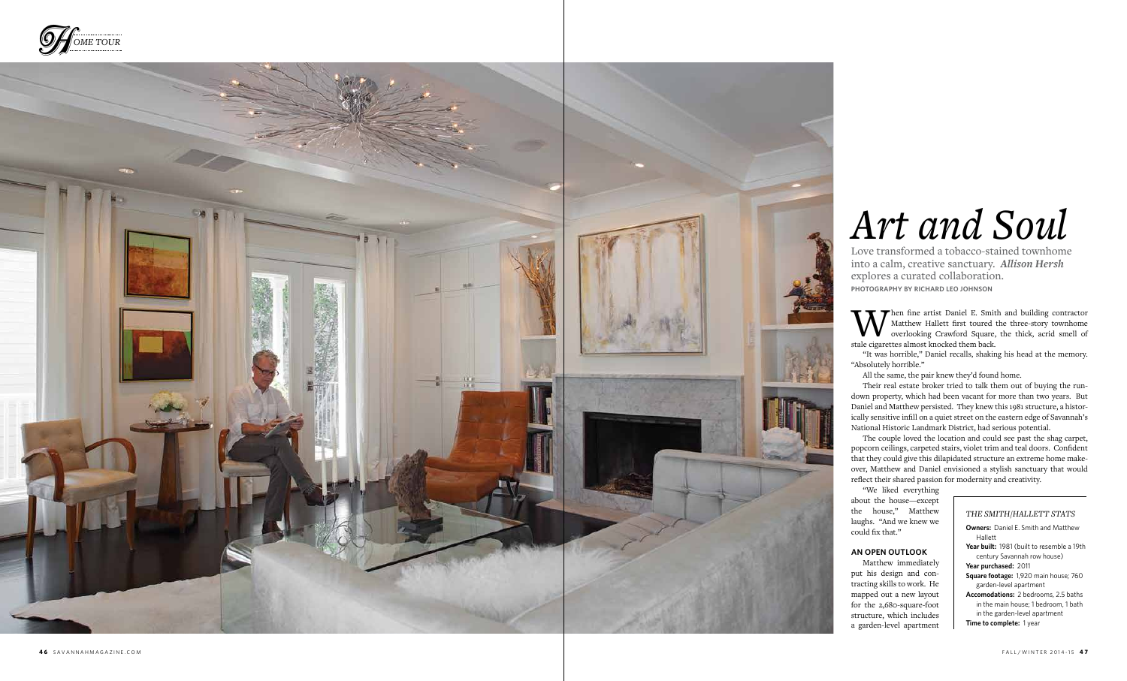



When fine artist Daniel E. Smith and building contractor<br>Matthew Hallett first toured the three-story townhome<br>stale cigarettes almost knocked them back Matthew Hallett first toured the three-story townhome overlooking Crawford Square, the thick, acrid smell of stale cigarettes almost knocked them back.

"It was horrible," Daniel recalls, shaking his head at the memory. "Absolutely horrible."

All the same, the pair knew they'd found home.

Their real estate broker tried to talk them out of buying the rundown property, which had been vacant for more than two years. But Daniel and Matthew persisted. They knew this 1981 structure, a histor ically sensitive infill on a quiet street on the eastern edge of Savannah's National Historic Landmark District, had serious potential.

The couple loved the location and could see past the shag carpet, popcorn ceilings, carpeted stairs, violet trim and teal doors. Confident that they could give this dilapidated structure an extreme home make over, Matthew and Daniel envisioned a stylish sanctuary that would reflect their shared passion for modernity and creativity.

"We liked everything about the house—except the house," Matthew laughs. "And we knew we could fix that."

### **An Open Outloo k**

Matthew immediately put his design and con tracting skills to work. He mapped out a new layout for the 2,680-square-foot structure, which includes a garden-level apartment

# *Art and Soul*

Love transformed a tobacco-stained townhome into a calm, creative sanctuary. *Allison Hersh* explores a curated collaboration. **Photography by Richard Leo Johnson**

# *The S MIT H / HALL ETT Stats*

- **Owners:** Daniel E. Smith and Matthew Hallett
- Year built: 1981 (built to resemble a 19th century Savannah row house)

**Year purchased:** 2011

**Square footage:** 1,920 main house; 760 garden-level apartment

**Accomodations:** 2 bedrooms, 2.5 baths in the main house; 1 bedroom, 1 bath in the garden-level apartment

**Time to complete:** 1 year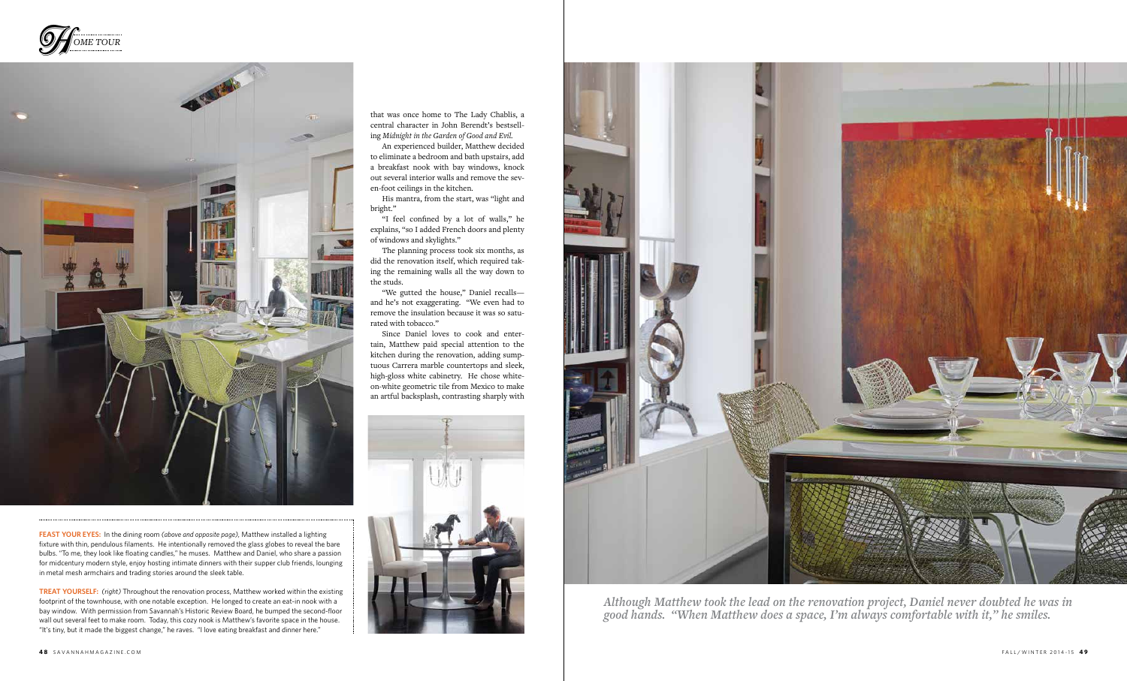

*Although Matthew took the lead on the renovation project, Daniel never doubted he was in good hands. "When Matthew does a space, I'm always comfortable with it," he smiles.*

that was once home to The Lady Chablis, a central character in John Berendt's bestselling *Midnight in the Garden of Good and Evil.*

An experienced builder, Matthew decided to eliminate a bedroom and bath upstairs, add a breakfast nook with bay windows, knock out several interior walls and remove the seven-foot ceilings in the kitchen.

His mantra, from the start, was "light and bright."

"I feel confined by a lot of walls," he explains, "so I added French doors and plenty of windows and skylights."

The planning process took six months, as did the renovation itself, which required taking the remaining walls all the way down to the studs.

"We gutted the house," Daniel recalls and he's not exaggerating. "We even had to remove the insulation because it was so saturated with tobacco."

Since Daniel loves to cook and entertain, Matthew paid special attention to the kitchen during the renovation, adding sumptuous Carrera marble countertops and sleek, high-gloss white cabinetry. He chose whiteon-white geometric tile from Mexico to make an artful backsplash, contrasting sharply with



**Feast Your Eyes:** In the dining room *(above and opposite page),* Matthew installed a lighting fixture with thin, pendulous filaments. He intentionally removed the glass globes to reveal the bare bulbs. "To me, they look like floating candles," he muses. Matthew and Daniel, who share a passion for midcentury modern style, enjoy hosting intimate dinners with their supper club friends, lounging in metal mesh armchairs and trading stories around the sleek table.

**Treat Yourself:** *(right)* Throughout the renovation process, Matthew worked within the existing footprint of the townhouse, with one notable exception. He longed to create an eat-in nook with a bay window*.* With permission from Savannah's Historic Review Board, he bumped the second-floor wall out several feet to make room. Today, this cozy nook is Matthew's favorite space in the house. "It's tiny, but it made the biggest change," he raves. "I love eating breakfast and dinner here."



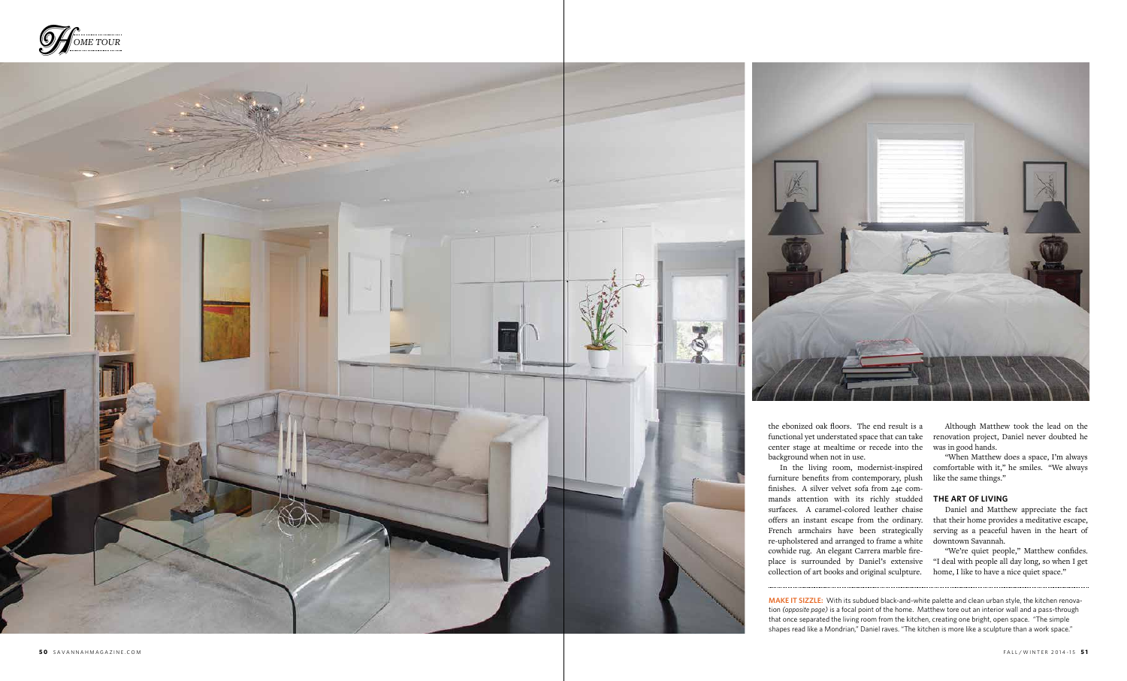